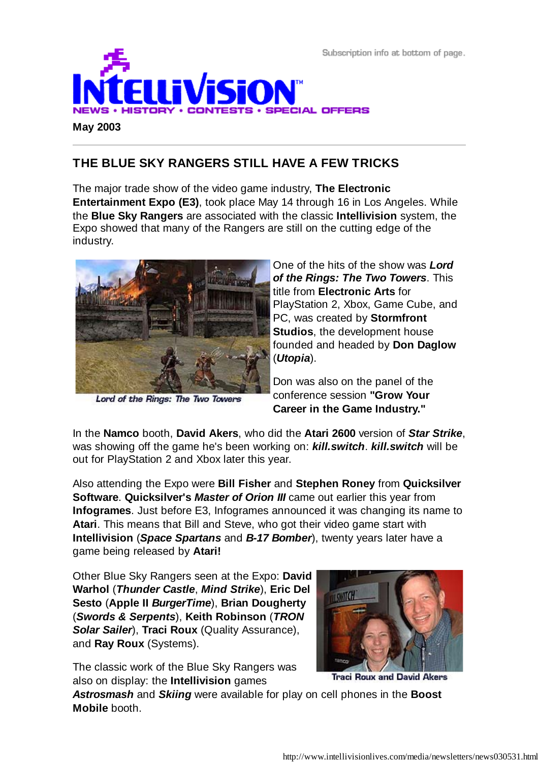Subscription info at bottom of page.



### **THE BLUE SKY RANGERS STILL HAVE A FEW TRICKS**

The major trade show of the video game industry, **The Electronic Entertainment Expo (E3)**, took place May 14 through 16 in Los Angeles. While the **Blue Sky Rangers** are associated with the classic **Intellivision** system, the Expo showed that many of the Rangers are still on the cutting edge of the industry.



Lord of the Rings: The Two Towers

One of the hits of the show was *Lord of the Rings: The Two Towers*. This title from **Electronic Arts** for PlayStation 2, Xbox, Game Cube, and PC, was created by **Stormfront Studios**, the development house founded and headed by **Don Daglow** (*Utopia*).

Don was also on the panel of the conference session **"Grow Your Career in the Game Industry."**

In the **Namco** booth, **David Akers**, who did the **Atari 2600** version of *Star Strike*, was showing off the game he's been working on: *kill.switch*. *kill.switch* will be out for PlayStation 2 and Xbox later this year.

Also attending the Expo were **Bill Fisher** and **Stephen Roney** from **Quicksilver Software**. **Quicksilver's** *Master of Orion III* came out earlier this year from **Infogrames**. Just before E3, Infogrames announced it was changing its name to **Atari**. This means that Bill and Steve, who got their video game start with **Intellivision** (*Space Spartans* and *B-17 Bomber*), twenty years later have a game being released by **Atari!**

Other Blue Sky Rangers seen at the Expo: **David Warhol** (*Thunder Castle*, *Mind Strike*), **Eric Del Sesto** (**Apple II** *BurgerTime*), **Brian Dougherty** (*Swords & Serpents*), **Keith Robinson** (*TRON Solar Sailer*), **Traci Roux** (Quality Assurance), and **Ray Roux** (Systems).



The classic work of the Blue Sky Rangers was also on display: the **Intellivision** games

**Traci Roux and David Akers** 

*Astrosmash* and *Skiing* were available for play on cell phones in the **Boost Mobile** booth.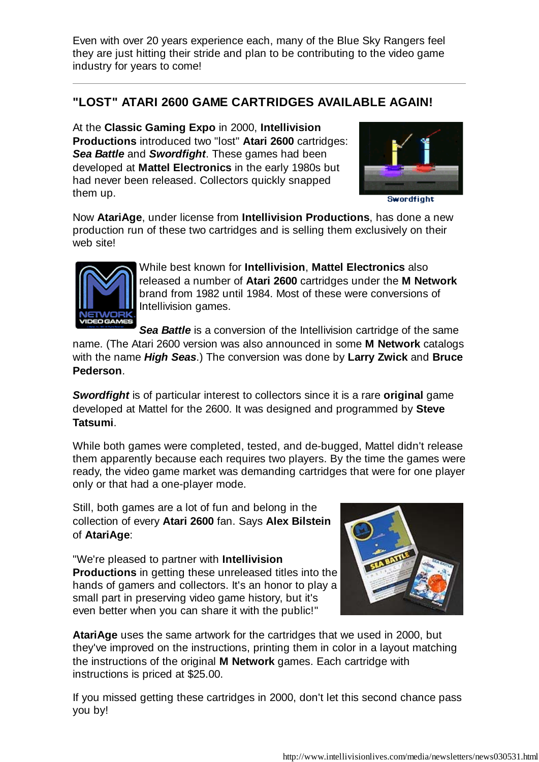Even with over 20 years experience each, many of the Blue Sky Rangers feel they are just hitting their stride and plan to be contributing to the video game industry for years to come!

# **"LOST" ATARI 2600 GAME CARTRIDGES AVAILABLE AGAIN!**

At the **Classic Gaming Expo** in 2000, **Intellivision Productions** introduced two "lost" **Atari 2600** cartridges: *Sea Battle* and *Swordfight*. These games had been developed at **Mattel Electronics** in the early 1980s but had never been released. Collectors quickly snapped them up.



Swordfight

Now **AtariAge**, under license from **Intellivision Productions**, has done a new production run of these two cartridges and is selling them exclusively on their web site!



While best known for **Intellivision**, **Mattel Electronics** also released a number of **Atari 2600** cartridges under the **M Network** brand from 1982 until 1984. Most of these were conversions of Intellivision games.

**Sea Battle** is a conversion of the Intellivision cartridge of the same name. (The Atari 2600 version was also announced in some **M Network** catalogs with the name *High Seas*.) The conversion was done by **Larry Zwick** and **Bruce Pederson**.

*Swordfight* is of particular interest to collectors since it is a rare **original** game developed at Mattel for the 2600. It was designed and programmed by **Steve Tatsumi**.

While both games were completed, tested, and de-bugged, Mattel didn't release them apparently because each requires two players. By the time the games were ready, the video game market was demanding cartridges that were for one player only or that had a one-player mode.

Still, both games are a lot of fun and belong in the collection of every **Atari 2600** fan. Says **Alex Bilstein** of **AtariAge**:

"We're pleased to partner with **Intellivision Productions** in getting these unreleased titles into the hands of gamers and collectors. It's an honor to play a small part in preserving video game history, but it's even better when you can share it with the public!"



**AtariAge** uses the same artwork for the cartridges that we used in 2000, but they've improved on the instructions, printing them in color in a layout matching the instructions of the original **M Network** games. Each cartridge with instructions is priced at \$25.00.

If you missed getting these cartridges in 2000, don't let this second chance pass you by!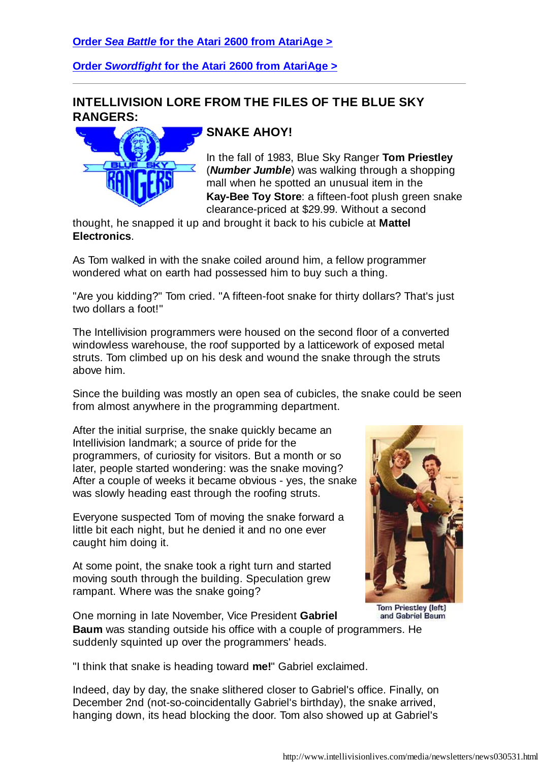#### **Order** *Sea Battle* **for the Atari 2600 from AtariAge >**

**Order** *Swordfight* **for the Atari 2600 from AtariAge >**

#### **INTELLIVISION LORE FROM THE FILES OF THE BLUE SKY RANGERS:**



# **SNAKE AHOY!**

In the fall of 1983, Blue Sky Ranger **Tom Priestley** (*Number Jumble*) was walking through a shopping mall when he spotted an unusual item in the **Kay-Bee Toy Store**: a fifteen-foot plush green snake clearance-priced at \$29.99. Without a second

thought, he snapped it up and brought it back to his cubicle at **Mattel Electronics**.

As Tom walked in with the snake coiled around him, a fellow programmer wondered what on earth had possessed him to buy such a thing.

"Are you kidding?" Tom cried. "A fifteen-foot snake for thirty dollars? That's just two dollars a foot!"

The Intellivision programmers were housed on the second floor of a converted windowless warehouse, the roof supported by a latticework of exposed metal struts. Tom climbed up on his desk and wound the snake through the struts above him.

Since the building was mostly an open sea of cubicles, the snake could be seen from almost anywhere in the programming department.

After the initial surprise, the snake quickly became an Intellivision landmark; a source of pride for the programmers, of curiosity for visitors. But a month or so later, people started wondering: was the snake moving? After a couple of weeks it became obvious - yes, the snake was slowly heading east through the roofing struts.

Everyone suspected Tom of moving the snake forward a little bit each night, but he denied it and no one ever caught him doing it.

At some point, the snake took a right turn and started moving south through the building. Speculation grew rampant. Where was the snake going?



**Tom Priestley (left)** and Gabriel Baum

One morning in late November, Vice President **Gabriel Baum** was standing outside his office with a couple of programmers. He suddenly squinted up over the programmers' heads.

"I think that snake is heading toward **me!**" Gabriel exclaimed.

Indeed, day by day, the snake slithered closer to Gabriel's office. Finally, on December 2nd (not-so-coincidentally Gabriel's birthday), the snake arrived, hanging down, its head blocking the door. Tom also showed up at Gabriel's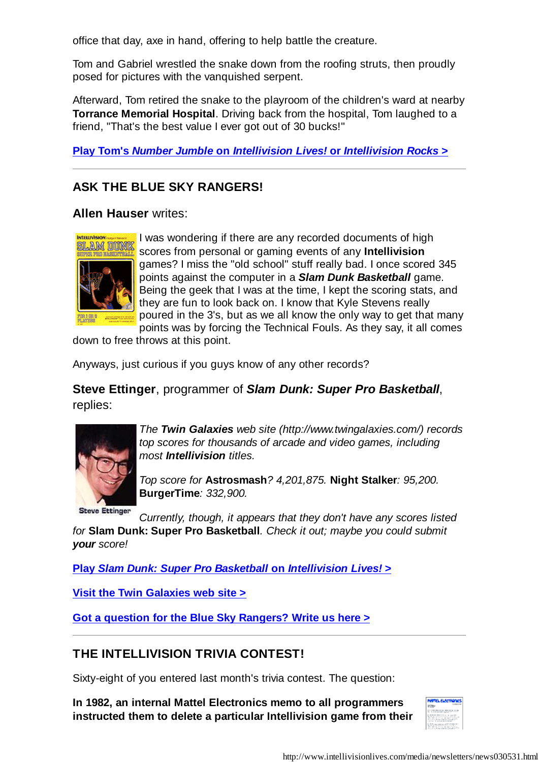office that day, axe in hand, offering to help battle the creature.

Tom and Gabriel wrestled the snake down from the roofing struts, then proudly posed for pictures with the vanquished serpent.

Afterward, Tom retired the snake to the playroom of the children's ward at nearby **Torrance Memorial Hospital**. Driving back from the hospital, Tom laughed to a friend, "That's the best value I ever got out of 30 bucks!"

**Play Tom's** *Number Jumble* **on** *Intellivision Lives!* **or** *Intellivision Rocks* **>**

### **ASK THE BLUE SKY RANGERS!**

**Allen Hauser** writes:



I was wondering if there are any recorded documents of high scores from personal or gaming events of any **Intellivision** games? I miss the "old school" stuff really bad. I once scored 345 points against the computer in a *Slam Dunk Basketball* game. Being the geek that I was at the time, I kept the scoring stats, and they are fun to look back on. I know that Kyle Stevens really poured in the 3's, but as we all know the only way to get that many points was by forcing the Technical Fouls. As they say, it all comes

down to free throws at this point.

Anyways, just curious if you guys know of any other records?

**Steve Ettinger**, programmer of *Slam Dunk: Super Pro Basketball*, replies:



*The Twin Galaxies web site (http://www.twingalaxies.com/) records top scores for thousands of arcade and video games, including most Intellivision titles.*

*Top score for* **Astrosmash***? 4,201,875.* **Night Stalker***: 95,200.* **BurgerTime***: 332,900.*

**Steve Ettinger** 

*Currently, though, it appears that they don't have any scores listed*

*for* **Slam Dunk: Super Pro Basketball***. Check it out; maybe you could submit your score!*

**Play** *Slam Dunk: Super Pro Basketball* **on** *Intellivision Lives!* **>**

**Visit the Twin Galaxies web site >**

**Got a question for the Blue Sky Rangers? Write us here >**

# **THE INTELLIVISION TRIVIA CONTEST!**

Sixty-eight of you entered last month's trivia contest. The question:

**In 1982, an internal Mattel Electronics memo to all programmers instructed them to delete a particular Intellivision game from their**

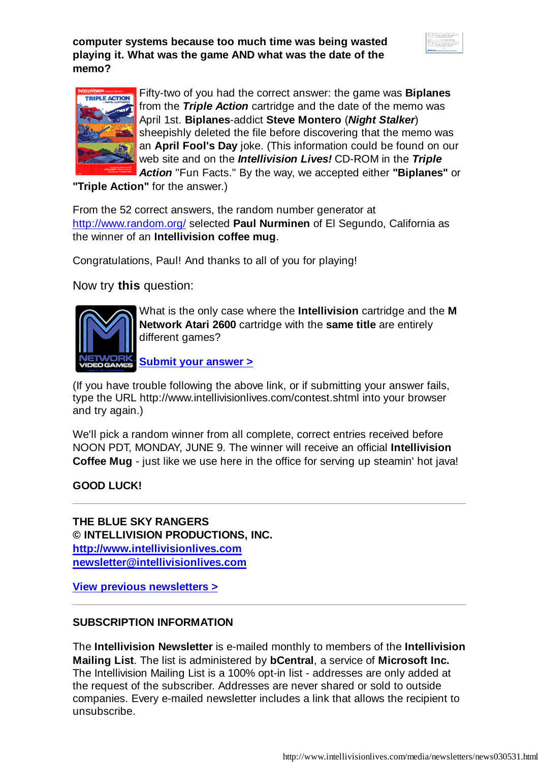**computer systems because too much time was being wasted playing it. What was the game AND what was the date of the memo?**





Fifty-two of you had the correct answer: the game was **Biplanes** from the *Triple Action* cartridge and the date of the memo was April 1st. **Biplanes**-addict **Steve Montero** (*Night Stalker*) sheepishly deleted the file before discovering that the memo was an **April Fool's Day** joke. (This information could be found on our web site and on the *Intellivision Lives!* CD-ROM in the *Triple Action* "Fun Facts." By the way, we accepted either **"Biplanes"** or

**"Triple Action"** for the answer.)

From the 52 correct answers, the random number generator at http://www.random.org/ selected **Paul Nurminen** of El Segundo, California as the winner of an **Intellivision coffee mug**.

Congratulations, Paul! And thanks to all of you for playing!

Now try **this** question:



What is the only case where the **Intellivision** cartridge and the **M Network Atari 2600** cartridge with the **same title** are entirely different games?

**Submit your answer >**

(If you have trouble following the above link, or if submitting your answer fails, type the URL http://www.intellivisionlives.com/contest.shtml into your browser and try again.)

We'll pick a random winner from all complete, correct entries received before NOON PDT, MONDAY, JUNE 9. The winner will receive an official **Intellivision Coffee Mug** - just like we use here in the office for serving up steamin' hot java!

#### **GOOD LUCK!**

**THE BLUE SKY RANGERS © INTELLIVISION PRODUCTIONS, INC. http://www.intellivisionlives.com newsletter@intellivisionlives.com**

**View previous newsletters >**

#### **SUBSCRIPTION INFORMATION**

The **Intellivision Newsletter** is e-mailed monthly to members of the **Intellivision Mailing List**. The list is administered by **bCentral**, a service of **Microsoft Inc.** The Intellivision Mailing List is a 100% opt-in list - addresses are only added at the request of the subscriber. Addresses are never shared or sold to outside companies. Every e-mailed newsletter includes a link that allows the recipient to unsubscribe.